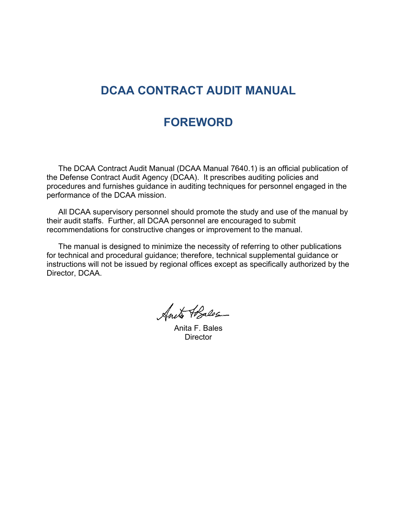## **DCAA CONTRACT AUDIT MANUAL**

### **FOREWORD**

The DCAA Contract Audit Manual (DCAA Manual 7640.1) is an official publication of the Defense Contract Audit Agency (DCAA). It prescribes auditing policies and procedures and furnishes guidance in auditing techniques for personnel engaged in the performance of the DCAA mission.

All DCAA supervisory personnel should promote the study and use of the manual by their audit staffs. Further, all DCAA personnel are encouraged to submit recommendations for constructive changes or improvement to the manual.

The manual is designed to minimize the necessity of referring to other publications for technical and procedural guidance; therefore, technical supplemental guidance or instructions will not be issued by regional offices except as specifically authorized by the Director, DCAA.

Suite Abalos

Anita F. Bales **Director**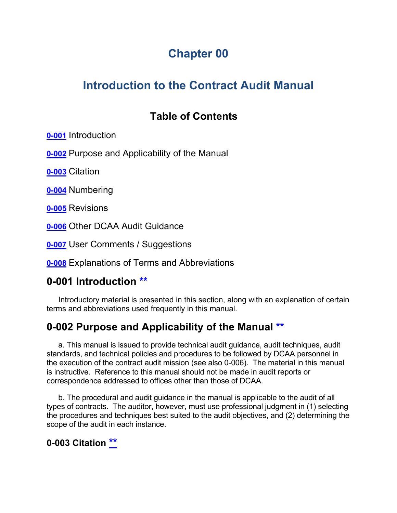# **Chapter 00**

# **Introduction to the Contract Audit Manual**

# <span id="page-1-10"></span><span id="page-1-9"></span><span id="page-1-8"></span><span id="page-1-4"></span><span id="page-1-3"></span>**Table of Contents**

**[0-001](#page-1-0)** Introduction

**[0-002](#page-1-1)** Purpose and Applicability of the Manual

<span id="page-1-5"></span>**[0-003](#page-1-2)** Citation

<span id="page-1-6"></span>**[0-004](#page-2-0)** Numbering

<span id="page-1-7"></span>**[0-005](#page-2-1)** Revisions

**[0-006](#page-2-2)** Other DCAA Audit Guidance

**[0-007](#page-2-3)** User Comments / Suggestions

**[0-008](#page-3-0)** Explanations of Terms and Abbreviations

### <span id="page-1-0"></span>**0-001 Introduction [\\*\\*](#page-1-3)**

Introductory material is presented in this section, along with an explanation of certain terms and abbreviations used frequently in this manual.

# <span id="page-1-1"></span>**0-002 Purpose and Applicability of the Manual [\\*\\*](#page-1-4)**

a. This manual is issued to provide technical audit guidance, audit techniques, audit standards, and technical policies and procedures to be followed by DCAA personnel in the execution of the contract audit mission (see also 0-006). The material in this manual is instructive. Reference to this manual should not be made in audit reports or correspondence addressed to offices other than those of DCAA.

b. The procedural and audit guidance in the manual is applicable to the audit of all types of contracts. The auditor, however, must use professional judgment in (1) selecting the procedures and techniques best suited to the audit objectives, and (2) determining the scope of the audit in each instance.

### <span id="page-1-2"></span>**0-003 Citation [\\*\\*](#page-1-5)**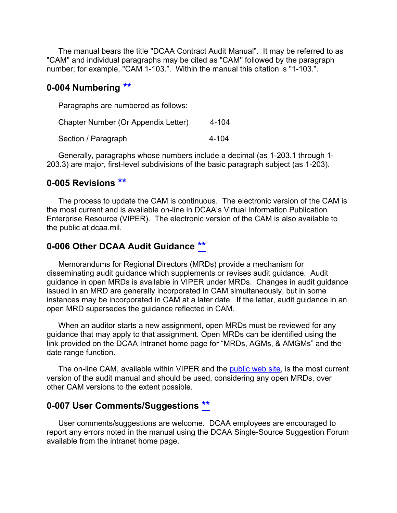The manual bears the title "DCAA Contract Audit Manual". It may be referred to as "CAM'' and individual paragraphs may be cited as "CAM'' followed by the paragraph number; for example, "CAM 1-103.". Within the manual this citation is "1-103.".

#### <span id="page-2-0"></span>**0-004 Numbering [\\*\\*](#page-1-6)**

Paragraphs are numbered as follows:

| Chapter Number (Or Appendix Letter) | 4-104 |
|-------------------------------------|-------|
| Section / Paragraph                 | 4-104 |

Generally, paragraphs whose numbers include a decimal (as 1-203.1 through 1- 203.3) are major, first-level subdivisions of the basic paragraph subject (as 1-203).

#### <span id="page-2-1"></span>**0-005 Revisions [\\*\\*](#page-1-7)**

The process to update the CAM is continuous. The electronic version of the CAM is the most current and is available on-line in DCAA's Virtual Information Publication Enterprise Resource (VIPER). The electronic version of the CAM is also available to the public at dcaa.mil.

#### <span id="page-2-2"></span>**0-006 Other DCAA Audit Guidance [\\*\\*](#page-1-8)**

Memorandums for Regional Directors (MRDs) provide a mechanism for disseminating audit guidance which supplements or revises audit guidance. Audit guidance in open MRDs is available in VIPER under MRDs. Changes in audit guidance issued in an MRD are generally incorporated in CAM simultaneously, but in some instances may be incorporated in CAM at a later date. If the latter, audit guidance in an open MRD supersedes the guidance reflected in CAM.

When an auditor starts a new assignment, open MRDs must be reviewed for any guidance that may apply to that assignment. Open MRDs can be identified using the link provided on the DCAA Intranet home page for "MRDs, AGMs, & AMGMs" and the date range function.

The on-line CAM, available within VIPER and the [public web site,](http://www.dcaa.mil/) is the most current version of the audit manual and should be used, considering any open MRDs, over other CAM versions to the extent possible.

#### <span id="page-2-3"></span>**0-007 User Comments/Suggestions [\\*\\*](#page-1-9)**

User comments/suggestions are welcome. DCAA employees are encouraged to report any errors noted in the manual using the DCAA Single-Source Suggestion Forum available from the intranet home page.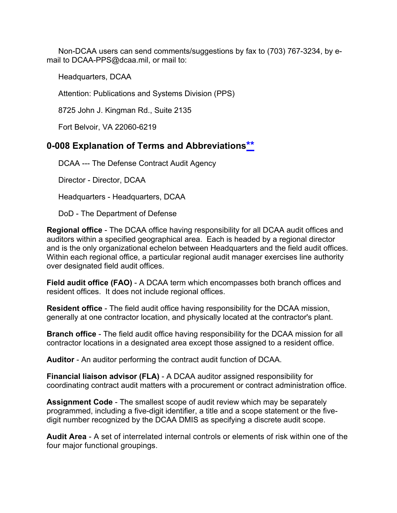Non-DCAA users can send comments/suggestions by fax to (703) 767-3234, by email to DCAA-PPS@dcaa.mil, or mail to:

Headquarters, DCAA

Attention: Publications and Systems Division (PPS)

8725 John J. Kingman Rd., Suite 2135

Fort Belvoir, VA 22060-6219

### <span id="page-3-0"></span>**0-008 Explanation of Terms and Abbreviation[s\\*\\*](#page-1-10)**

DCAA --- The Defense Contract Audit Agency

Director - Director, DCAA

Headquarters - Headquarters, DCAA

DoD - The Department of Defense

**Regional office** - The DCAA office having responsibility for all DCAA audit offices and auditors within a specified geographical area. Each is headed by a regional director and is the only organizational echelon between Headquarters and the field audit offices. Within each regional office, a particular regional audit manager exercises line authority over designated field audit offices.

**Field audit office (FAO)** - A DCAA term which encompasses both branch offices and resident offices. It does not include regional offices.

**Resident office** - The field audit office having responsibility for the DCAA mission, generally at one contractor location, and physically located at the contractor's plant.

**Branch office** - The field audit office having responsibility for the DCAA mission for all contractor locations in a designated area except those assigned to a resident office.

**Auditor** - An auditor performing the contract audit function of DCAA.

**Financial liaison advisor (FLA)** - A DCAA auditor assigned responsibility for coordinating contract audit matters with a procurement or contract administration office.

**Assignment Code** - The smallest scope of audit review which may be separately programmed, including a five-digit identifier, a title and a scope statement or the fivedigit number recognized by the DCAA DMIS as specifying a discrete audit scope.

**Audit Area** - A set of interrelated internal controls or elements of risk within one of the four major functional groupings.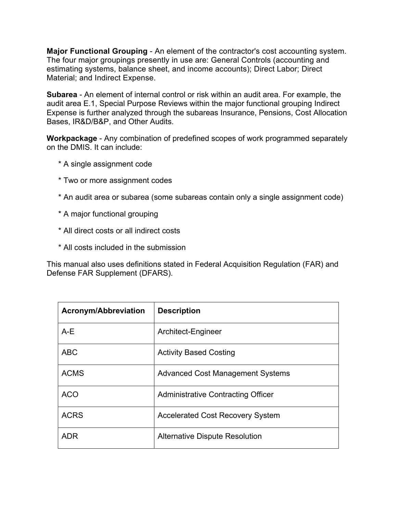**Major Functional Grouping** - An element of the contractor's cost accounting system. The four major groupings presently in use are: General Controls (accounting and estimating systems, balance sheet, and income accounts); Direct Labor; Direct Material; and Indirect Expense.

**Subarea** - An element of internal control or risk within an audit area. For example, the audit area E.1, Special Purpose Reviews within the major functional grouping Indirect Expense is further analyzed through the subareas Insurance, Pensions, Cost Allocation Bases, IR&D/B&P, and Other Audits.

**Workpackage** - Any combination of predefined scopes of work programmed separately on the DMIS. It can include:

- \* A single assignment code
- \* Two or more assignment codes
- \* An audit area or subarea (some subareas contain only a single assignment code)
- \* A major functional grouping
- \* All direct costs or all indirect costs
- \* All costs included in the submission

This manual also uses definitions stated in Federal Acquisition Regulation (FAR) and Defense FAR Supplement (DFARS).

| <b>Acronym/Abbreviation</b> | <b>Description</b>                      |
|-----------------------------|-----------------------------------------|
| $A-E$                       | Architect-Engineer                      |
| <b>ABC</b>                  | <b>Activity Based Costing</b>           |
| <b>ACMS</b>                 | <b>Advanced Cost Management Systems</b> |
| <b>ACO</b>                  | Administrative Contracting Officer      |
| <b>ACRS</b>                 | <b>Accelerated Cost Recovery System</b> |
| ADR                         | <b>Alternative Dispute Resolution</b>   |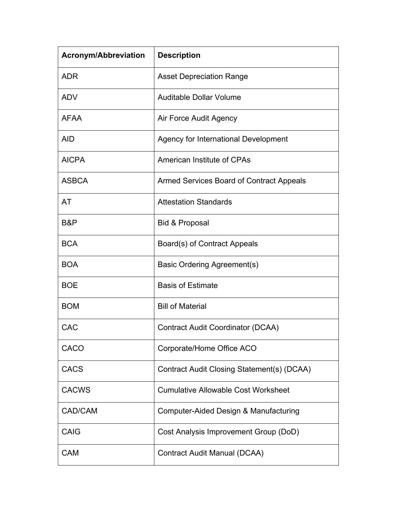| <b>Acronym/Abbreviation</b> | <b>Description</b>                         |
|-----------------------------|--------------------------------------------|
| <b>ADR</b>                  | <b>Asset Depreciation Range</b>            |
| <b>ADV</b>                  | <b>Auditable Dollar Volume</b>             |
| <b>AFAA</b>                 | Air Force Audit Agency                     |
| <b>AID</b>                  | Agency for International Development       |
| <b>AICPA</b>                | <b>American Institute of CPAs</b>          |
| <b>ASBCA</b>                | Armed Services Board of Contract Appeals   |
| AT                          | <b>Attestation Standards</b>               |
| B&P                         | <b>Bid &amp; Proposal</b>                  |
| <b>BCA</b>                  | Board(s) of Contract Appeals               |
| <b>BOA</b>                  | Basic Ordering Agreement(s)                |
| <b>BOE</b>                  | <b>Basis of Estimate</b>                   |
| <b>BOM</b>                  | <b>Bill of Material</b>                    |
| CAC                         | <b>Contract Audit Coordinator (DCAA)</b>   |
| <b>CACO</b>                 | Corporate/Home Office ACO                  |
| <b>CACS</b>                 | Contract Audit Closing Statement(s) (DCAA) |
| <b>CACWS</b>                | <b>Cumulative Allowable Cost Worksheet</b> |
| CAD/CAM                     | Computer-Aided Design & Manufacturing      |
| <b>CAIG</b>                 | Cost Analysis Improvement Group (DoD)      |
| <b>CAM</b>                  | Contract Audit Manual (DCAA)               |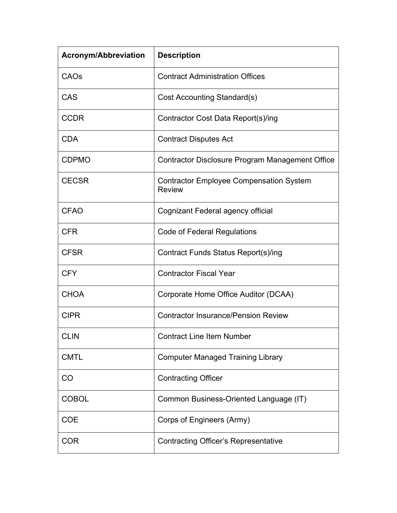| <b>Acronym/Abbreviation</b> | <b>Description</b>                                              |
|-----------------------------|-----------------------------------------------------------------|
| CAOs                        | <b>Contract Administration Offices</b>                          |
| <b>CAS</b>                  | Cost Accounting Standard(s)                                     |
| <b>CCDR</b>                 | Contractor Cost Data Report(s)/ing                              |
| <b>CDA</b>                  | <b>Contract Disputes Act</b>                                    |
| <b>CDPMO</b>                | Contractor Disclosure Program Management Office                 |
| <b>CECSR</b>                | <b>Contractor Employee Compensation System</b><br><b>Review</b> |
| <b>CFAO</b>                 | Cognizant Federal agency official                               |
| <b>CFR</b>                  | <b>Code of Federal Regulations</b>                              |
| <b>CFSR</b>                 | Contract Funds Status Report(s)/ing                             |
| <b>CFY</b>                  | <b>Contractor Fiscal Year</b>                                   |
| <b>CHOA</b>                 | Corporate Home Office Auditor (DCAA)                            |
| <b>CIPR</b>                 | <b>Contractor Insurance/Pension Review</b>                      |
| <b>CLIN</b>                 | <b>Contract Line Item Number</b>                                |
| <b>CMTL</b>                 | <b>Computer Managed Training Library</b>                        |
| CO                          | <b>Contracting Officer</b>                                      |
| <b>COBOL</b>                | Common Business-Oriented Language (IT)                          |
| <b>COE</b>                  | Corps of Engineers (Army)                                       |
| <b>COR</b>                  | <b>Contracting Officer's Representative</b>                     |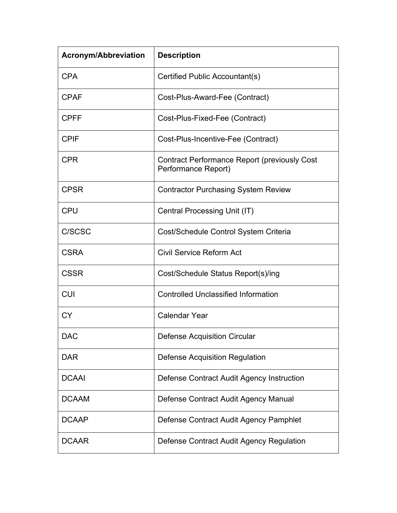| <b>Acronym/Abbreviation</b> | <b>Description</b>                                                         |
|-----------------------------|----------------------------------------------------------------------------|
| <b>CPA</b>                  | Certified Public Accountant(s)                                             |
| <b>CPAF</b>                 | Cost-Plus-Award-Fee (Contract)                                             |
| <b>CPFF</b>                 | Cost-Plus-Fixed-Fee (Contract)                                             |
| <b>CPIF</b>                 | Cost-Plus-Incentive-Fee (Contract)                                         |
| <b>CPR</b>                  | <b>Contract Performance Report (previously Cost</b><br>Performance Report) |
| <b>CPSR</b>                 | <b>Contractor Purchasing System Review</b>                                 |
| <b>CPU</b>                  | Central Processing Unit (IT)                                               |
| C/SCSC                      | Cost/Schedule Control System Criteria                                      |
| <b>CSRA</b>                 | <b>Civil Service Reform Act</b>                                            |
| <b>CSSR</b>                 | Cost/Schedule Status Report(s)/ing                                         |
| <b>CUI</b>                  | <b>Controlled Unclassified Information</b>                                 |
| СY                          | <b>Calendar Year</b>                                                       |
| <b>DAC</b>                  | <b>Defense Acquisition Circular</b>                                        |
| <b>DAR</b>                  | <b>Defense Acquisition Regulation</b>                                      |
| <b>DCAAI</b>                | Defense Contract Audit Agency Instruction                                  |
| <b>DCAAM</b>                | Defense Contract Audit Agency Manual                                       |
| <b>DCAAP</b>                | Defense Contract Audit Agency Pamphlet                                     |
| <b>DCAAR</b>                | Defense Contract Audit Agency Regulation                                   |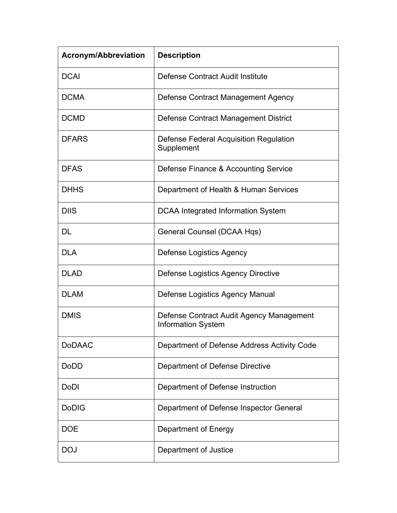| <b>Acronym/Abbreviation</b> | <b>Description</b>                                                    |
|-----------------------------|-----------------------------------------------------------------------|
| <b>DCAI</b>                 | Defense Contract Audit Institute                                      |
| <b>DCMA</b>                 | Defense Contract Management Agency                                    |
| <b>DCMD</b>                 | Defense Contract Management District                                  |
| <b>DFARS</b>                | Defense Federal Acquisition Regulation<br>Supplement                  |
| <b>DFAS</b>                 | Defense Finance & Accounting Service                                  |
| <b>DHHS</b>                 | Department of Health & Human Services                                 |
| <b>DIIS</b>                 | <b>DCAA Integrated Information System</b>                             |
| DL                          | General Counsel (DCAA Hqs)                                            |
| <b>DLA</b>                  | <b>Defense Logistics Agency</b>                                       |
| <b>DLAD</b>                 | Defense Logistics Agency Directive                                    |
| <b>DLAM</b>                 | Defense Logistics Agency Manual                                       |
| <b>DMIS</b>                 | Defense Contract Audit Agency Management<br><b>Information System</b> |
| <b>DoDAAC</b>               | Department of Defense Address Activity Code                           |
| <b>DoDD</b>                 | <b>Department of Defense Directive</b>                                |
| <b>DoDI</b>                 | Department of Defense Instruction                                     |
| <b>DoDIG</b>                | Department of Defense Inspector General                               |
| <b>DOE</b>                  | Department of Energy                                                  |
| <b>DOJ</b>                  | Department of Justice                                                 |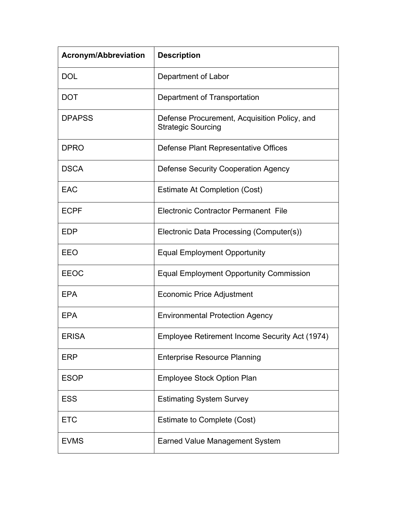| <b>Acronym/Abbreviation</b> | <b>Description</b>                                                        |
|-----------------------------|---------------------------------------------------------------------------|
| <b>DOL</b>                  | Department of Labor                                                       |
| <b>DOT</b>                  | Department of Transportation                                              |
| <b>DPAPSS</b>               | Defense Procurement, Acquisition Policy, and<br><b>Strategic Sourcing</b> |
| <b>DPRO</b>                 | Defense Plant Representative Offices                                      |
| <b>DSCA</b>                 | <b>Defense Security Cooperation Agency</b>                                |
| <b>EAC</b>                  | <b>Estimate At Completion (Cost)</b>                                      |
| <b>ECPF</b>                 | <b>Electronic Contractor Permanent File</b>                               |
| <b>EDP</b>                  | Electronic Data Processing (Computer(s))                                  |
| EEO                         | <b>Equal Employment Opportunity</b>                                       |
| <b>EEOC</b>                 | <b>Equal Employment Opportunity Commission</b>                            |
| <b>EPA</b>                  | <b>Economic Price Adjustment</b>                                          |
| <b>EPA</b>                  | <b>Environmental Protection Agency</b>                                    |
| <b>ERISA</b>                | Employee Retirement Income Security Act (1974)                            |
| <b>ERP</b>                  | <b>Enterprise Resource Planning</b>                                       |
| <b>ESOP</b>                 | <b>Employee Stock Option Plan</b>                                         |
| <b>ESS</b>                  | <b>Estimating System Survey</b>                                           |
| <b>ETC</b>                  | Estimate to Complete (Cost)                                               |
| <b>EVMS</b>                 | <b>Earned Value Management System</b>                                     |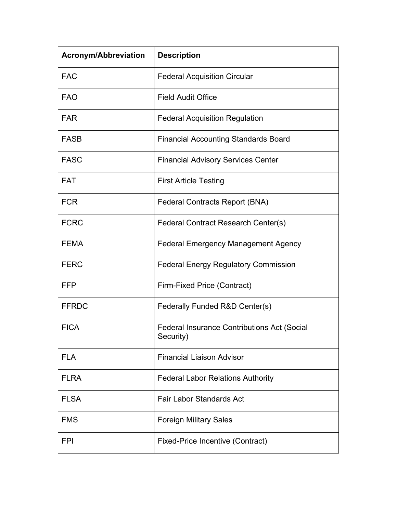| <b>Acronym/Abbreviation</b> | <b>Description</b>                                              |
|-----------------------------|-----------------------------------------------------------------|
| <b>FAC</b>                  | <b>Federal Acquisition Circular</b>                             |
| <b>FAO</b>                  | <b>Field Audit Office</b>                                       |
| <b>FAR</b>                  | <b>Federal Acquisition Regulation</b>                           |
| <b>FASB</b>                 | <b>Financial Accounting Standards Board</b>                     |
| <b>FASC</b>                 | <b>Financial Advisory Services Center</b>                       |
| <b>FAT</b>                  | <b>First Article Testing</b>                                    |
| <b>FCR</b>                  | <b>Federal Contracts Report (BNA)</b>                           |
| <b>FCRC</b>                 | Federal Contract Research Center(s)                             |
| <b>FEMA</b>                 | <b>Federal Emergency Management Agency</b>                      |
| <b>FERC</b>                 | <b>Federal Energy Regulatory Commission</b>                     |
| <b>FFP</b>                  | Firm-Fixed Price (Contract)                                     |
| <b>FFRDC</b>                | Federally Funded R&D Center(s)                                  |
| <b>FICA</b>                 | <b>Federal Insurance Contributions Act (Social</b><br>Security) |
| <b>FLA</b>                  | <b>Financial Liaison Advisor</b>                                |
| <b>FLRA</b>                 | <b>Federal Labor Relations Authority</b>                        |
| <b>FLSA</b>                 | <b>Fair Labor Standards Act</b>                                 |
| <b>FMS</b>                  | <b>Foreign Military Sales</b>                                   |
| <b>FPI</b>                  | <b>Fixed-Price Incentive (Contract)</b>                         |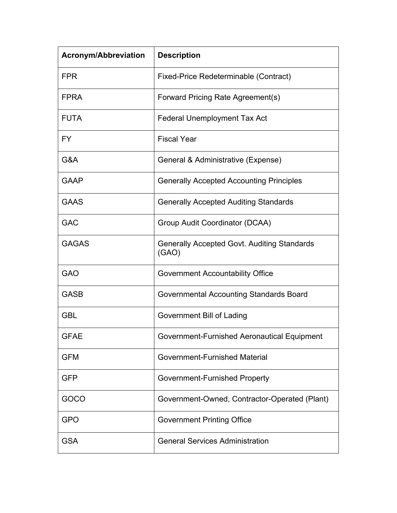| <b>Acronym/Abbreviation</b> | <b>Description</b>                                          |
|-----------------------------|-------------------------------------------------------------|
| <b>FPR</b>                  | Fixed-Price Redeterminable (Contract)                       |
| <b>FPRA</b>                 | Forward Pricing Rate Agreement(s)                           |
| <b>FUTA</b>                 | <b>Federal Unemployment Tax Act</b>                         |
| FY.                         | <b>Fiscal Year</b>                                          |
| G&A                         | General & Administrative (Expense)                          |
| <b>GAAP</b>                 | <b>Generally Accepted Accounting Principles</b>             |
| <b>GAAS</b>                 | <b>Generally Accepted Auditing Standards</b>                |
| <b>GAC</b>                  | Group Audit Coordinator (DCAA)                              |
| <b>GAGAS</b>                | <b>Generally Accepted Govt. Auditing Standards</b><br>(GAO) |
| <b>GAO</b>                  | <b>Government Accountability Office</b>                     |
| <b>GASB</b>                 | Governmental Accounting Standards Board                     |
| <b>GBL</b>                  | Government Bill of Lading                                   |
| <b>GFAE</b>                 | Government-Furnished Aeronautical Equipment                 |
| <b>GFM</b>                  | <b>Government-Furnished Material</b>                        |
| <b>GFP</b>                  | Government-Furnished Property                               |
| GOCO                        | Government-Owned, Contractor-Operated (Plant)               |
| <b>GPO</b>                  | <b>Government Printing Office</b>                           |
| <b>GSA</b>                  | <b>General Services Administration</b>                      |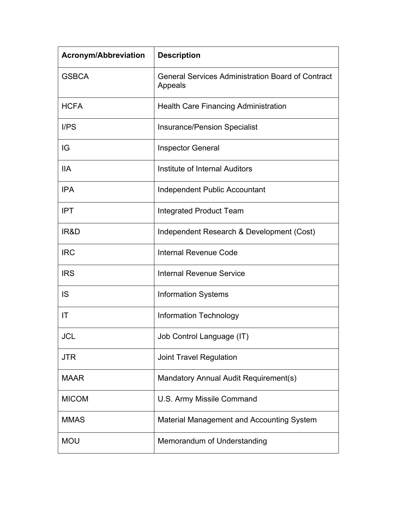| <b>Acronym/Abbreviation</b> | <b>Description</b>                                                  |
|-----------------------------|---------------------------------------------------------------------|
| <b>GSBCA</b>                | <b>General Services Administration Board of Contract</b><br>Appeals |
| <b>HCFA</b>                 | <b>Health Care Financing Administration</b>                         |
| I/PS                        | <b>Insurance/Pension Specialist</b>                                 |
| IG                          | <b>Inspector General</b>                                            |
| <b>IIA</b>                  | Institute of Internal Auditors                                      |
| <b>IPA</b>                  | Independent Public Accountant                                       |
| <b>IPT</b>                  | <b>Integrated Product Team</b>                                      |
| IR&D                        | Independent Research & Development (Cost)                           |
| <b>IRC</b>                  | <b>Internal Revenue Code</b>                                        |
| <b>IRS</b>                  | <b>Internal Revenue Service</b>                                     |
| IS                          | <b>Information Systems</b>                                          |
| IT                          | Information Technology                                              |
| JCL                         | Job Control Language (IT)                                           |
| JTR                         | <b>Joint Travel Regulation</b>                                      |
| <b>MAAR</b>                 | Mandatory Annual Audit Requirement(s)                               |
| <b>MICOM</b>                | U.S. Army Missile Command                                           |
| <b>MMAS</b>                 | <b>Material Management and Accounting System</b>                    |
| <b>MOU</b>                  | Memorandum of Understanding                                         |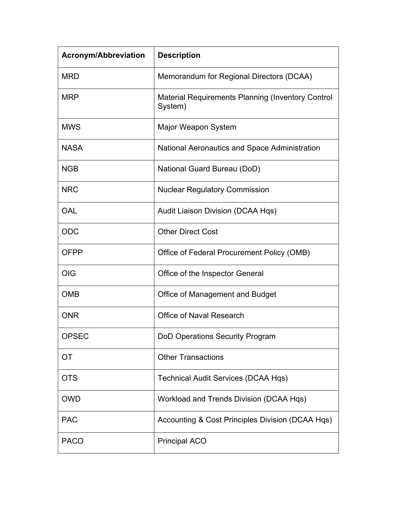| <b>Acronym/Abbreviation</b> | <b>Description</b>                                                  |
|-----------------------------|---------------------------------------------------------------------|
| <b>MRD</b>                  | Memorandum for Regional Directors (DCAA)                            |
| <b>MRP</b>                  | <b>Material Requirements Planning (Inventory Control</b><br>System) |
| <b>MWS</b>                  | Major Weapon System                                                 |
| <b>NASA</b>                 | National Aeronautics and Space Administration                       |
| <b>NGB</b>                  | National Guard Bureau (DoD)                                         |
| <b>NRC</b>                  | <b>Nuclear Regulatory Commission</b>                                |
| <b>OAL</b>                  | Audit Liaison Division (DCAA Hqs)                                   |
| <b>ODC</b>                  | <b>Other Direct Cost</b>                                            |
| <b>OFPP</b>                 | Office of Federal Procurement Policy (OMB)                          |
| <b>OIG</b>                  | Office of the Inspector General                                     |
| <b>OMB</b>                  | <b>Office of Management and Budget</b>                              |
| <b>ONR</b>                  | <b>Office of Naval Research</b>                                     |
| <b>OPSEC</b>                | <b>DoD Operations Security Program</b>                              |
| <b>OT</b>                   | <b>Other Transactions</b>                                           |
| <b>OTS</b>                  | <b>Technical Audit Services (DCAA Hqs)</b>                          |
| <b>OWD</b>                  | Workload and Trends Division (DCAA Hqs)                             |
| <b>PAC</b>                  | Accounting & Cost Principles Division (DCAA Hqs)                    |
| <b>PACO</b>                 | <b>Principal ACO</b>                                                |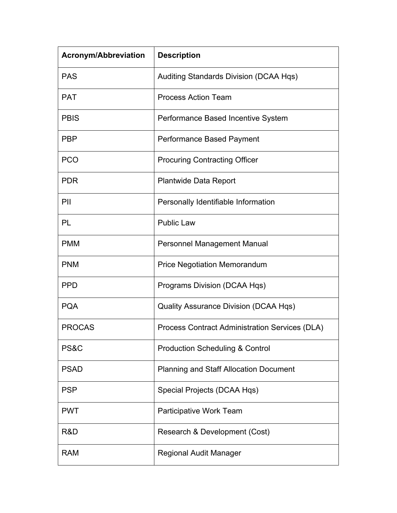| <b>Acronym/Abbreviation</b> | <b>Description</b>                                    |
|-----------------------------|-------------------------------------------------------|
| <b>PAS</b>                  | Auditing Standards Division (DCAA Hqs)                |
| <b>PAT</b>                  | <b>Process Action Team</b>                            |
| <b>PBIS</b>                 | Performance Based Incentive System                    |
| <b>PBP</b>                  | Performance Based Payment                             |
| <b>PCO</b>                  | <b>Procuring Contracting Officer</b>                  |
| <b>PDR</b>                  | <b>Plantwide Data Report</b>                          |
| PII                         | Personally Identifiable Information                   |
| PL                          | <b>Public Law</b>                                     |
| <b>PMM</b>                  | <b>Personnel Management Manual</b>                    |
| <b>PNM</b>                  | <b>Price Negotiation Memorandum</b>                   |
| <b>PPD</b>                  | Programs Division (DCAA Hqs)                          |
| <b>PQA</b>                  | <b>Quality Assurance Division (DCAA Hqs)</b>          |
| <b>PROCAS</b>               | <b>Process Contract Administration Services (DLA)</b> |
| PS&C                        | <b>Production Scheduling &amp; Control</b>            |
| <b>PSAD</b>                 | <b>Planning and Staff Allocation Document</b>         |
| <b>PSP</b>                  | Special Projects (DCAA Hqs)                           |
| <b>PWT</b>                  | Participative Work Team                               |
| R&D                         | Research & Development (Cost)                         |
| <b>RAM</b>                  | Regional Audit Manager                                |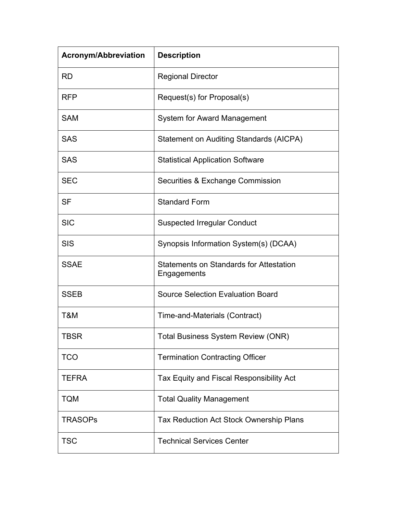| <b>Acronym/Abbreviation</b> | <b>Description</b>                                            |
|-----------------------------|---------------------------------------------------------------|
| <b>RD</b>                   | <b>Regional Director</b>                                      |
| <b>RFP</b>                  | Request(s) for Proposal(s)                                    |
| <b>SAM</b>                  | <b>System for Award Management</b>                            |
| <b>SAS</b>                  | <b>Statement on Auditing Standards (AICPA)</b>                |
| <b>SAS</b>                  | <b>Statistical Application Software</b>                       |
| <b>SEC</b>                  | Securities & Exchange Commission                              |
| <b>SF</b>                   | <b>Standard Form</b>                                          |
| <b>SIC</b>                  | <b>Suspected Irregular Conduct</b>                            |
| <b>SIS</b>                  | Synopsis Information System(s) (DCAA)                         |
| <b>SSAE</b>                 | <b>Statements on Standards for Attestation</b><br>Engagements |
| <b>SSEB</b>                 | <b>Source Selection Evaluation Board</b>                      |
| T&M                         | Time-and-Materials (Contract)                                 |
| <b>TBSR</b>                 | <b>Total Business System Review (ONR)</b>                     |
| <b>TCO</b>                  | <b>Termination Contracting Officer</b>                        |
| <b>TEFRA</b>                | Tax Equity and Fiscal Responsibility Act                      |
| <b>TQM</b>                  | <b>Total Quality Management</b>                               |
| <b>TRASOPs</b>              | <b>Tax Reduction Act Stock Ownership Plans</b>                |
| <b>TSC</b>                  | <b>Technical Services Center</b>                              |